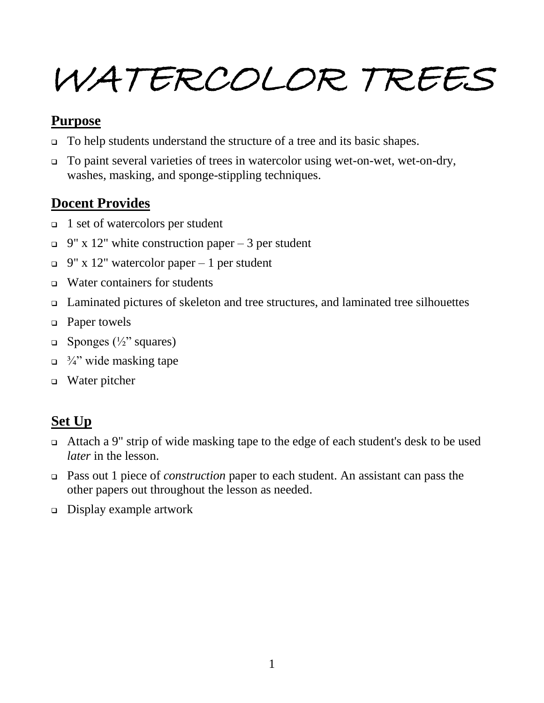# WATERCOLOR TREES

#### **Purpose**

- □ To help students understand the structure of a tree and its basic shapes.
- To paint several varieties of trees in watercolor using wet-on-wet, wet-on-dry, washes, masking, and sponge-stippling techniques.

# **Docent Provides**

- $\Box$  1 set of watercolors per student
- $\Box$  9" x 12" white construction paper 3 per student
- $\Box$  9" x 12" watercolor paper 1 per student
- $\Box$  Water containers for students
- Laminated pictures of skeleton and tree structures, and laminated tree silhouettes
- □ Paper towels
- $\Box$  Sponges ( $\frac{1}{2}$ " squares)
- $\Box$  <sup>3</sup>/<sub>4</sub>" wide masking tape
- Water pitcher

# **Set Up**

- Attach a 9" strip of wide masking tape to the edge of each student's desk to be used *later* in the lesson.
- Pass out 1 piece of *construction* paper to each student. An assistant can pass the other papers out throughout the lesson as needed.
- Display example artwork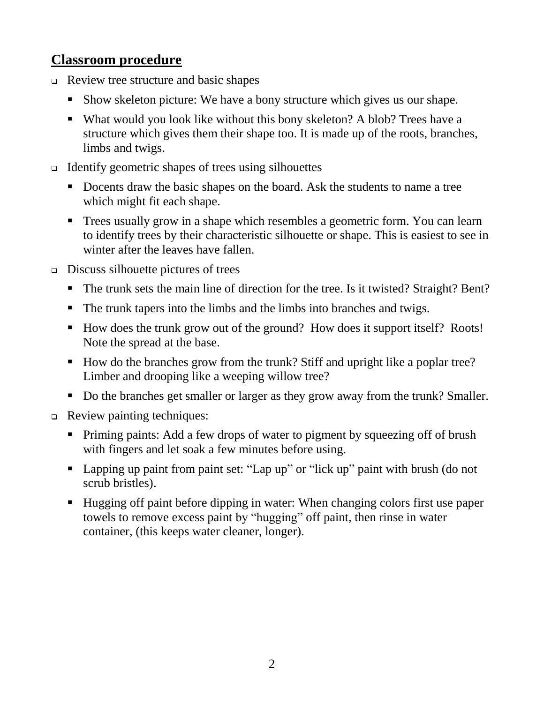#### **Classroom procedure**

- $\Box$  Review tree structure and basic shapes
	- Show skeleton picture: We have a bony structure which gives us our shape.
	- What would you look like without this bony skeleton? A blob? Trees have a structure which gives them their shape too. It is made up of the roots, branches, limbs and twigs.
- $\Box$  Identify geometric shapes of trees using silhouettes
	- Docents draw the basic shapes on the board. Ask the students to name a tree which might fit each shape.
	- Trees usually grow in a shape which resembles a geometric form. You can learn to identify trees by their characteristic silhouette or shape. This is easiest to see in winter after the leaves have fallen.
- $\Box$  Discuss silhouette pictures of trees
	- The trunk sets the main line of direction for the tree. Is it twisted? Straight? Bent?
	- The trunk tapers into the limbs and the limbs into branches and twigs.
	- How does the trunk grow out of the ground? How does it support itself? Roots! Note the spread at the base.
	- How do the branches grow from the trunk? Stiff and upright like a poplar tree? Limber and drooping like a weeping willow tree?
	- Do the branches get smaller or larger as they grow away from the trunk? Smaller.
- Review painting techniques:
	- Priming paints: Add a few drops of water to pigment by squeezing off of brush with fingers and let soak a few minutes before using.
	- Lapping up paint from paint set: "Lap up" or "lick up" paint with brush (do not scrub bristles).
	- Hugging off paint before dipping in water: When changing colors first use paper towels to remove excess paint by "hugging" off paint, then rinse in water container, (this keeps water cleaner, longer).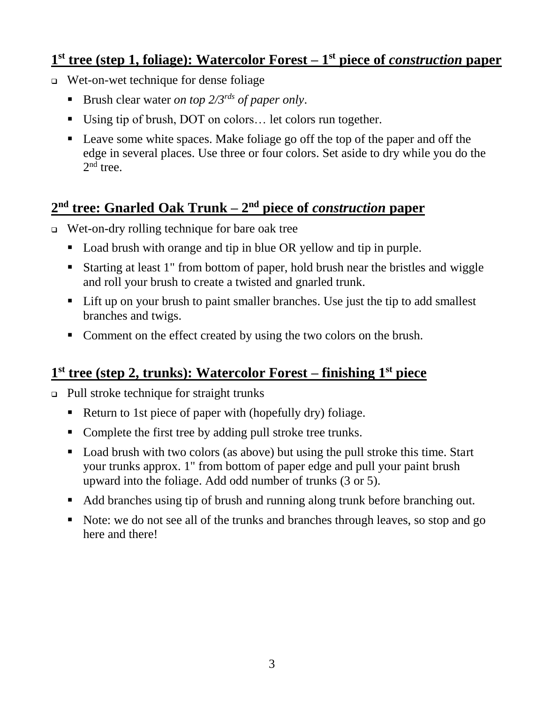#### **1 st tree (step 1, foliage): Watercolor Forest – 1 st piece of** *construction* **paper**

- Wet-on-wet technique for dense foliage
	- Brush clear water *on top 2/3rds of paper only*.
	- Using tip of brush, DOT on colors… let colors run together.
	- Leave some white spaces. Make foliage go off the top of the paper and off the edge in several places. Use three or four colors. Set aside to dry while you do the  $2<sup>nd</sup>$  tree.

# **2 nd tree: Gnarled Oak Trunk – 2 nd piece of** *construction* **paper**

- Wet-on-dry rolling technique for bare oak tree
	- Load brush with orange and tip in blue OR yellow and tip in purple.
	- Starting at least 1" from bottom of paper, hold brush near the bristles and wiggle and roll your brush to create a twisted and gnarled trunk.
	- Lift up on your brush to paint smaller branches. Use just the tip to add smallest branches and twigs.
	- Comment on the effect created by using the two colors on the brush.

# **1 st tree (step 2, trunks): Watercolor Forest – finishing 1 st piece**

- Pull stroke technique for straight trunks
	- Return to 1st piece of paper with (hopefully dry) foliage.
	- Complete the first tree by adding pull stroke tree trunks.
	- Load brush with two colors (as above) but using the pull stroke this time. Start your trunks approx. 1" from bottom of paper edge and pull your paint brush upward into the foliage. Add odd number of trunks (3 or 5).
	- Add branches using tip of brush and running along trunk before branching out.
	- Note: we do not see all of the trunks and branches through leaves, so stop and go here and there!